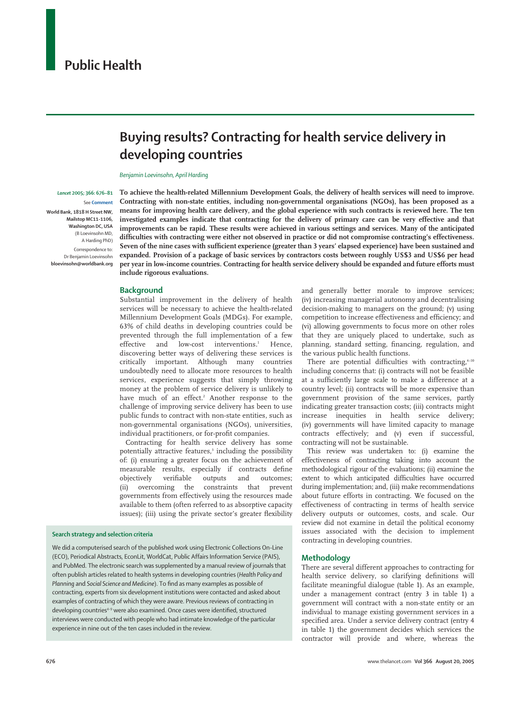## **Public Health**

# **Buying results? Contracting for health service delivery in developing countries**

*Benjamin Loevinsohn, April Harding*

#### *Lancet* **2005; 366: 676–81** See **Comment**

**World Bank, 1818 H Street NW, Mailstop MC11-1106, Washington DC, USA** (B Loevinsohn MD, A Harding PhD) Correspondence to: Dr Benjamin Loevinsohn **bloevinsohn@worldbank.org** **To achieve the health-related Millennium Development Goals, the delivery of health services will need to improve. Contracting with non-state entities, including non-governmental organisations (NGOs), has been proposed as a means for improving health care delivery, and the global experience with such contracts is reviewed here. The ten investigated examples indicate that contracting for the delivery of primary care can be very effective and that improvements can be rapid. These results were achieved in various settings and services. Many of the anticipated difficulties with contracting were either not observed in practice or did not compromise contracting's effectiveness. Seven of the nine cases with sufficient experience (greater than 3 years' elapsed experience) have been sustained and expanded. Provision of a package of basic services by contractors costs between roughly US\$3 and US\$6 per head per year in low-income countries. Contracting for health service delivery should be expanded and future efforts must include rigorous evaluations.**

#### **Background**

Substantial improvement in the delivery of health services will be necessary to achieve the health-related Millennium Development Goals (MDGs). For example, 63% of child deaths in developing countries could be prevented through the full implementation of a few effective and low-cost interventions.<sup>1</sup> Hence, discovering better ways of delivering these services is critically important. Although many countries undoubtedly need to allocate more resources to health services, experience suggests that simply throwing money at the problem of service delivery is unlikely to have much of an effect.<sup>2</sup> Another response to the challenge of improving service delivery has been to use public funds to contract with non-state entities, such as non-governmental organisations (NGOs), universities, individual practitioners, or for-profit companies.

Contracting for health service delivery has some potentially attractive features,<sup>3</sup> including the possibility of: (i) ensuring a greater focus on the achievement of measurable results, especially if contracts define objectively verifiable outputs and outcomes; (ii) overcoming the constraints that prevent governments from effectively using the resources made available to them (often referred to as absorptive capacity issues); (iii) using the private sector's greater flexibility

#### **Search strategy and selection criteria**

We did a computerised search of the published work using Electronic Collections On-Line (ECO), Periodical Abstracts, EconLit, WorldCat, Public Affairs Information Service (PAIS), and PubMed. The electronic search was supplemented by a manual review of journals that often publish articles related to health systems in developing countries (*Health Policy and Planning* and *Social Science and Medicine*). To find as many examples as possible of contracting, experts from six development institutions were contacted and asked about examples of contracting of which they were aware. Previous reviews of contracting in developing countries<sup>4-9</sup> were also examined. Once cases were identified, structured interviews were conducted with people who had intimate knowledge of the particular experience in nine out of the ten cases included in the review.

and generally better morale to improve services; (iv) increasing managerial autonomy and decentralising decision-making to managers on the ground; (v) using competition to increase effectiveness and efficiency; and (vi) allowing governments to focus more on other roles that they are uniquely placed to undertake, such as planning, standard setting, financing, regulation, and the various public health functions.

There are potential difficulties with contracting, $4-10$ including concerns that: (i) contracts will not be feasible at a sufficiently large scale to make a difference at a country level; (ii) contracts will be more expensive than government provision of the same services, partly indicating greater transaction costs; (iii) contracts might increase inequities in health service delivery; (iv) governments will have limited capacity to manage contracts effectively; and (v) even if successful, contracting will not be sustainable.

This review was undertaken to: (i) examine the effectiveness of contracting taking into account the methodological rigour of the evaluations; (ii) examine the extent to which anticipated difficulties have occurred during implementation; and, (iii) make recommendations about future efforts in contracting. We focused on the effectiveness of contracting in terms of health service delivery outputs or outcomes, costs, and scale. Our review did not examine in detail the political economy issues associated with the decision to implement contracting in developing countries.

### **Methodology**

There are several different approaches to contracting for health service delivery, so clarifying definitions will facilitate meaningful dialogue (table 1). As an example, under a management contract (entry 3 in table 1) a government will contract with a non-state entity or an individual to manage existing government services in a specified area. Under a service delivery contract (entry 4 in table 1) the government decides which services the contractor will provide and where, whereas the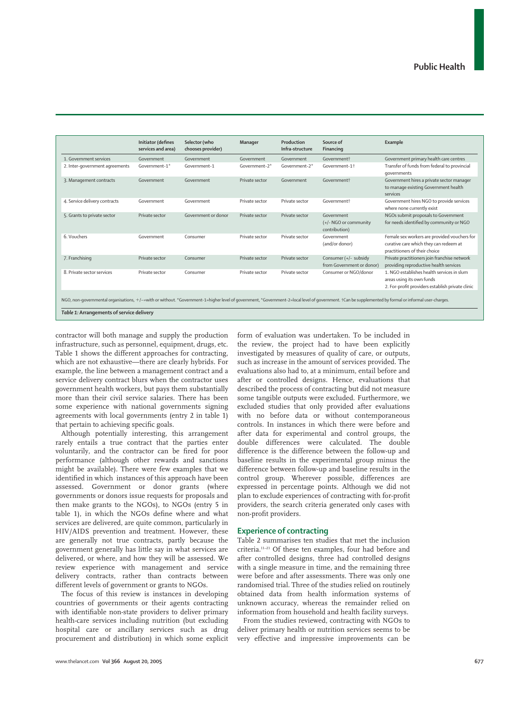|                                | Initiator (defines<br>services and area) | Selector (who<br>chooses provider) | Manager        | Production<br>Infra-structure | Source of<br>Financing                               | Example                                                                                       |
|--------------------------------|------------------------------------------|------------------------------------|----------------|-------------------------------|------------------------------------------------------|-----------------------------------------------------------------------------------------------|
| 1. Government services         | Government                               | Government                         | Government     | Government                    | Government <sup>+</sup>                              | Government primary health care centres                                                        |
| 2. Inter-government agreements | Government-1*                            | Government-1                       | Government-2*  | Government-2*                 | Government-1+                                        | Transfer of funds from federal to provincial                                                  |
|                                |                                          |                                    |                |                               |                                                      | governments                                                                                   |
| 3. Management contracts        | Government                               | Government                         | Private sector | Government                    | Government+                                          | Government hires a private sector manager<br>to manage existing Government health<br>services |
| 4. Service delivery contracts  | Government                               | Government                         | Private sector | Private sector                | Government+                                          | Government hires NGO to provide services                                                      |
|                                |                                          |                                    |                |                               |                                                      | where none currently exist                                                                    |
| 5. Grants to private sector    | Private sector                           | Government or donor                | Private sector | Private sector                | Government<br>(+/- NGO or community<br>contribution) | NGOs submit proposals to Government<br>for needs identified by community or NGO               |
| 6. Vouchers                    | Government                               | Consumer                           | Private sector | Private sector                | Government                                           | Female sex workers are provided vouchers for                                                  |
|                                |                                          |                                    |                |                               | (and/or donor)                                       | curative care which they can redeem at                                                        |
|                                |                                          |                                    |                |                               |                                                      | practitioners of their choice                                                                 |
| 7. Franchising                 | Private sector                           | Consumer                           | Private sector | Private sector                | Consumer (+/- subsidy<br>from Government or donor)   | Private practitioners join franchise network<br>providing reproductive health services        |
| 8. Private sector services     | Private sector                           | Consumer                           | Private sector | Private sector                | Consumer or NGO/donor                                | 1. NGO establishes health services in slum                                                    |
|                                |                                          |                                    |                |                               |                                                      | areas using its own funds                                                                     |
|                                |                                          |                                    |                |                               |                                                      | 2. For-profit providers establish private clinic                                              |

contractor will both manage and supply the production infrastructure, such as personnel, equipment, drugs, etc. Table 1 shows the different approaches for contracting, which are not exhaustive—there are clearly hybrids. For example, the line between a management contract and a service delivery contract blurs when the contractor uses government health workers, but pays them substantially more than their civil service salaries. There has been some experience with national governments signing agreements with local governments (entry 2 in table 1) that pertain to achieving specific goals.

Although potentially interesting, this arrangement rarely entails a true contract that the parties enter voluntarily, and the contractor can be fired for poor performance (although other rewards and sanctions might be available). There were few examples that we identified in which instances of this approach have been assessed. Government or donor grants (where governments or donors issue requests for proposals and then make grants to the NGOs), to NGOs (entry 5 in table 1), in which the NGOs define where and what services are delivered, are quite common, particularly in HIV/AIDS prevention and treatment. However, these are generally not true contracts, partly because the government generally has little say in what services are delivered, or where, and how they will be assessed. We review experience with management and service delivery contracts, rather than contracts between different levels of government or grants to NGOs.

The focus of this review is instances in developing countries of governments or their agents contracting with identifiable non-state providers to deliver primary health-care services including nutrition (but excluding hospital care or ancillary services such as drug procurement and distribution) in which some explicit form of evaluation was undertaken. To be included in the review, the project had to have been explicitly investigated by measures of quality of care, or outputs, such as increase in the amount of services provided. The evaluations also had to, at a minimum, entail before and after or controlled designs. Hence, evaluations that described the process of contracting but did not measure some tangible outputs were excluded. Furthermore, we excluded studies that only provided after evaluations with no before data or without contemporaneous controls. In instances in which there were before and after data for experimental and control groups, the double differences were calculated. The double difference is the difference between the follow-up and baseline results in the experimental group minus the difference between follow-up and baseline results in the control group. Wherever possible, differences are expressed in percentage points. Although we did not plan to exclude experiences of contracting with for-profit providers, the search criteria generated only cases with non-profit providers.

### **Experience of contracting**

Table 2 summarises ten studies that met the inclusion criteria.11–21 Of these ten examples, four had before and after controlled designs, three had controlled designs with a single measure in time, and the remaining three were before and after assessments. There was only one randomised trial. Three of the studies relied on routinely obtained data from health information systems of unknown accuracy, whereas the remainder relied on information from household and health facility surveys.

From the studies reviewed, contracting with NGOs to deliver primary health or nutrition services seems to be very effective and impressive improvements can be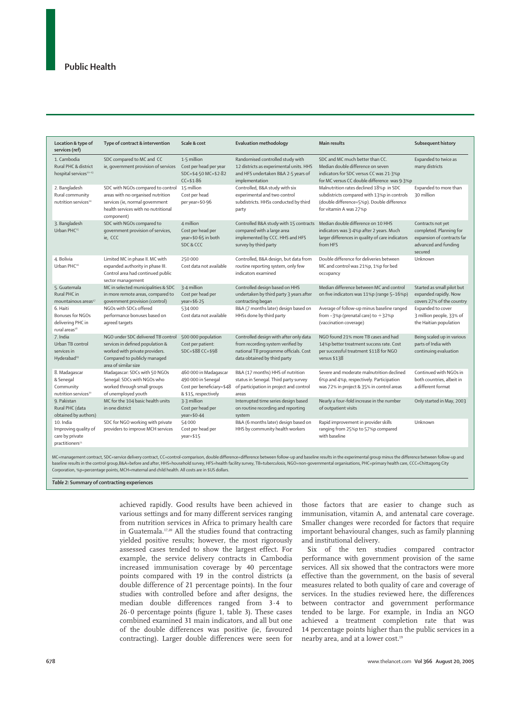| Location & type of<br>services (ref)                                                  | Type of contract & intervention                                                                                                                                  | Scale & cost                                                                                     | <b>Evaluation methodology</b>                                                                                                                                       | Main results                                                                                                                                                    | Subsequent history                                                                                            |
|---------------------------------------------------------------------------------------|------------------------------------------------------------------------------------------------------------------------------------------------------------------|--------------------------------------------------------------------------------------------------|---------------------------------------------------------------------------------------------------------------------------------------------------------------------|-----------------------------------------------------------------------------------------------------------------------------------------------------------------|---------------------------------------------------------------------------------------------------------------|
| 1. Cambodia<br>Rural PHC & district<br>hospital services <sup>11-13</sup>             | SDC compared to MC and CC<br>ie, government provision of services                                                                                                | 1.5 million<br>Cost per head per year<br>$SDC = $4.50$ $MC = $2.82$<br>$CC = $1.86$              | Randomised controlled study with<br>12 districts as experimental units. HHS<br>and HFS undertaken B&A 2.5 years of<br>implementation                                | SDC and MC much better than CC.<br>Median double difference on seven<br>indicators for SDC versus CC was 21.3%p<br>for MC versus CC double difference was 9.3%p | Expanded to twice as<br>many districts                                                                        |
| 2. Bangladesh<br>Rural community<br>nutrition services <sup>14</sup>                  | SDC with NGOs compared to control<br>areas with no organised nutrition<br>services (ie, normal government<br>health services with no nutritional<br>component)   | 15 million<br>Cost per head<br>per year=\$0.96                                                   | Controlled, B&A study with six<br>experimental and two control<br>subdistricts. HHSs conducted by third<br>party                                                    | Malnutrition rates declined 18%p in SDC<br>subdistricts compared with 13%p in controls<br>(double difference=5%p). Double difference<br>for vitamin A was 27%p  | Expanded to more than<br>30 million                                                                           |
| 3. Bangladesh<br>Urban PHC <sup>15</sup>                                              | SDC with NGOs compared to<br>government provision of services,<br>ie, CCC                                                                                        | 4 million<br>Cost per head per<br>year=\$0.65 in both<br>SDC & CCC                               | Controlled B&A study with 15 contracts Median double difference on 10 HHS<br>compared with a large area<br>implemented by CCC. HHS and HFS<br>survey by third party | indicators was 3.4%p after 2 years. Much<br>larger differences in quality of care indicators<br>from HFS                                                        | Contracts not yet<br>completed. Planning for<br>expansion of contracts far<br>advanced and funding<br>secured |
| 4. Bolivia<br>Urban PHC <sup>16</sup>                                                 | Limited MC in phase II. MC with<br>expanded authority in phase III.<br>Control area had continued public<br>sector management                                    | 250 000<br>Cost data not available                                                               | Controlled, B&A design, but data from<br>routine reporting system, only few<br>indicators examined                                                                  | Double difference for deliveries between<br>MC and control was 21%p, 1%p for bed<br>occupancy                                                                   | Unknown                                                                                                       |
| 5. Guatemala<br>Rural PHC in<br>mountainous areas <sup>17</sup>                       | MC in selected municipalities & SDC<br>in more remote areas, compared to<br>qovernment provision (control)                                                       | 3.4 million<br>Cost per head per<br>$year= $6.25$                                                | Controlled design based on HHS<br>undertaken by third party 3 years after<br>contracting began                                                                      | Median difference between MC and control<br>on five indicators was 11%p (range 5-16%p)                                                                          | Started as small pilot but<br>expanded rapidly. Now<br>covers 27% of the country                              |
| 6. Haiti<br><b>Bonuses for NGOs</b><br>delivering PHC in<br>rural areas <sup>18</sup> | NGOs with SDCs offered<br>performance bonuses based on<br>agreed targets                                                                                         | 534 000<br>Cost data not available                                                               | B&A (7 months later) design based on<br>HHSs done by third party                                                                                                    | Average of follow-up minus baseline ranged<br>from $-3\%p$ (prenatal care) to $+32\%p$<br>(vaccination coverage)                                                | Expanded to cover<br>3 million people, 33% of<br>the Haitian population                                       |
| 7. India<br>Urban TB control<br>services in<br>Hyderabad <sup>19</sup>                | NGO under SDC delivered TB control<br>services in defined population &<br>worked with private providers.<br>Compared to publicly managed<br>area of similar size | 500 000 population<br>Cost per patient:<br>$SDC = $88 C = $98$                                   | Controlled design with after only data<br>from recording system verified by<br>national TB programme officials. Cost<br>data obtained by third party                | NGO found 21% more TB cases and had<br>14%p better treatment success rate. Cost<br>per successful treatment \$118 for NGO<br>versus \$138                       | Being scaled up in various<br>parts of India with<br>continuing evaluation                                    |
| 8. Madagascar<br>& Senegal<br>Community<br>nutrition services <sup>20</sup>           | Madagascar: SDCs with 50 NGOs<br>Senegal: SDCs with NGOs who<br>worked through small groups<br>of unemployed youth                                               | 460 000 in Madagascar<br>490 000 in Senegal<br>Cost per beneficiary=\$48<br>& \$15, respectively | B&A (17 months) HHS of nutrition<br>status in Senegal. Third party survey<br>of participation in project and control<br>areas                                       | Severe and moderate malnutrition declined<br>6%p and 4%p, respectively. Participation<br>was 72% in project & 35% in control areas                              | Continued with NGOs in<br>both countries, albeit in<br>a different format                                     |
| 9. Pakistan<br>Rural PHC (data<br>obtained by authors)                                | MC for the 104 basic health units<br>in one district                                                                                                             | $3.3$ million<br>Cost per head per<br>$year=$ \$0 $-44$                                          | Interrupted time series design based<br>on routine recording and reporting<br>system                                                                                | Nearly a four-fold increase in the number<br>of outpatient visits                                                                                               | Only started in May, 2003                                                                                     |
| 10. India<br>Improving quality of<br>care by private<br>practitioners <sup>21</sup>   | SDC for NGO working with private<br>providers to improve MCH services                                                                                            | 54 000<br>Cost per head per<br>$year=$ \$15                                                      | B&A (6 months later) design based on<br>HHS by community health workers                                                                                             | Rapid improvement in provider skills<br>ranging from 25%p to 57%p compared<br>with baseline                                                                     | Unknown                                                                                                       |

MC=management contract, SDC=service delivery contract, CC=control-comparison, double difference=difference between follow-up and baseline results in the experimental group minus the difference between follow-up and baseline results in the control group,B&A=before and after, HHS=household survey, HFS=health facility survey, TB=tuberculosis, NGO=non-governmental organisations, PHC=primary health care, CCC=Chittagong City Corporation, %p=percentage points, MCH=maternal and child health. All costs are in \$US dollars.

*Table 2:* **Summary of contracting experiences** 

achieved rapidly. Good results have been achieved in various settings and for many different services ranging from nutrition services in Africa to primary health care in Guatemala.17,20 All the studies found that contracting yielded positive results; however, the most rigorously assessed cases tended to show the largest effect. For example, the service delivery contracts in Cambodia increased immunisation coverage by 40 percentage points compared with 19 in the control districts (a double difference of 21 percentage points). In the four studies with controlled before and after designs, the median double differences ranged from 3·4 to  $26.0$  percentage points (figure 1, table 3). These cases combined examined 31 main indicators, and all but one of the double differences was positive (ie, favoured contracting). Larger double differences were seen for

those factors that are easier to change such as immunisation, vitamin A, and antenatal care coverage. Smaller changes were recorded for factors that require important behavioural changes, such as family planning and institutional delivery.

Six of the ten studies compared contractor performance with government provision of the same services. All six showed that the contractors were more effective than the government, on the basis of several measures related to both quality of care and coverage of services. In the studies reviewed here, the differences between contractor and government performance tended to be large. For example, in India an NGO achieved a treatment completion rate that was 14 percentage points higher than the public services in a nearby area, and at a lower cost.<sup>19</sup>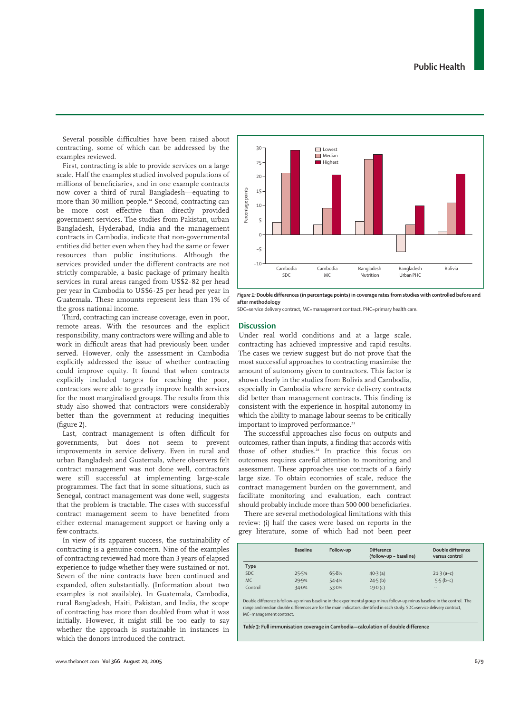Several possible difficulties have been raised about contracting, some of which can be addressed by the examples reviewed.

First, contracting is able to provide services on a large scale. Half the examples studied involved populations of millions of beneficiaries, and in one example contracts now cover a third of rural Bangladesh—equating to more than 30 million people.<sup>14</sup> Second, contracting can be more cost effective than directly provided government services. The studies from Pakistan, urban Bangladesh, Hyderabad, India and the management contracts in Cambodia, indicate that non-governmental entities did better even when they had the same or fewer resources than public institutions. Although the services provided under the different contracts are not strictly comparable, a basic package of primary health services in rural areas ranged from US\$2·82 per head per year in Cambodia to US\$6·25 per head per year in Guatemala. These amounts represent less than 1% of the gross national income.

Third, contracting can increase coverage, even in poor, remote areas. With the resources and the explicit responsibility, many contractors were willing and able to work in difficult areas that had previously been under served. However, only the assessment in Cambodia explicitly addressed the issue of whether contracting could improve equity. It found that when contracts explicitly included targets for reaching the poor, contractors were able to greatly improve health services for the most marginalised groups. The results from this study also showed that contractors were considerably better than the government at reducing inequities (figure 2).

Last, contract management is often difficult for governments, but does not seem to prevent improvements in service delivery. Even in rural and urban Bangladesh and Guatemala, where observers felt contract management was not done well, contractors were still successful at implementing large-scale programmes. The fact that in some situations, such as Senegal, contract management was done well, suggests that the problem is tractable. The cases with successful contract management seem to have benefited from either external management support or having only a few contracts.

In view of its apparent success, the sustainability of contracting is a genuine concern. Nine of the examples of contracting reviewed had more than 3 years of elapsed experience to judge whether they were sustained or not. Seven of the nine contracts have been continued and expanded, often substantially. (Information about two examples is not available). In Guatemala, Cambodia, rural Bangladesh, Haiti, Pakistan, and India, the scope of contracting has more than doubled from what it was initially. However, it might still be too early to say whether the approach is sustainable in instances in which the donors introduced the contract.



*Figure 1:* **Double differences (in percentage points) in coverage rates from studies with controlled before and after methodology**

SDC=service delivery contract, MC=management contract, PHC=primary health care.

## **Discussion**

Under real world conditions and at a large scale, contracting has achieved impressive and rapid results. The cases we review suggest but do not prove that the most successful approaches to contracting maximise the amount of autonomy given to contractors. This factor is shown clearly in the studies from Bolivia and Cambodia, especially in Cambodia where service delivery contracts did better than management contracts. This finding is consistent with the experience in hospital autonomy in which the ability to manage labour seems to be critically important to improved performance.<sup>23</sup>

The successful approaches also focus on outputs and outcomes, rather than inputs, a finding that accords with those of other studies.<sup>24</sup> In practice this focus on outcomes requires careful attention to monitoring and assessment. These approaches use contracts of a fairly large size. To obtain economies of scale, reduce the contract management burden on the government, and facilitate monitoring and evaluation, each contract should probably include more than 500 000 beneficiaries.

There are several methodological limitations with this review: (i) half the cases were based on reports in the grey literature, some of which had not been peer

| <b>Baseline</b> | Follow-up | <b>Difference</b><br>(follow-up - baseline) | Double difference<br>versus control |
|-----------------|-----------|---------------------------------------------|-------------------------------------|
|                 |           |                                             |                                     |
| 25.5%           | 65.8%     | 40.3(a)                                     | $21.3(a-c)$                         |
| 29.9%           | 54.4%     | 24.5(b)                                     | $5.5(b-c)$                          |
| 34.0%           | 53.0%     | 19.0(c)                                     | $-1$                                |
|                 |           |                                             |                                     |

Double difference is follow-up minus baseline in the experimental group minus follow-up minus baseline in the control. The range and median double differences are for the main indicators identified in each study. SDC=service delivery contract, MC=management contract.

*Table 3:* **Full immunisation coverage in Cambodia—calculation of double difference**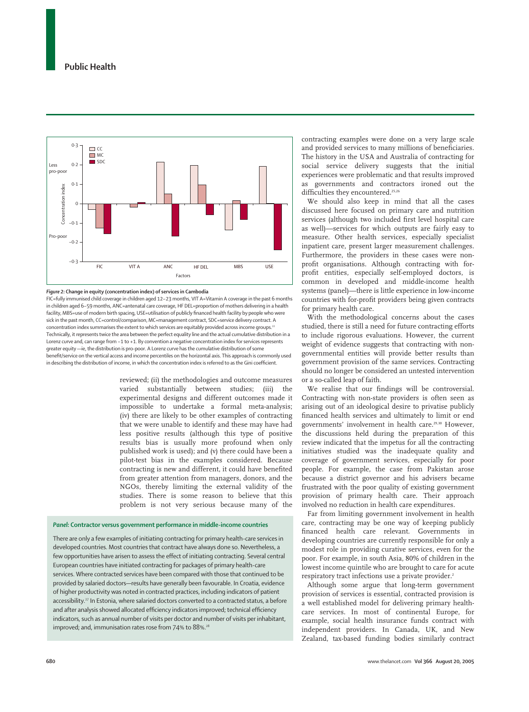

### *Figure 2:* **Change in equity (concentration index) of services in Cambodia**

FIC=fully immunised child coverage in children aged 12–23 months, VIT A=Vitamin A coverage in the past 6 months in children aged 6–59 months, ANC=antenatal care coverage, HF DEL=proportion of mothers delivering in a health facility, MBS=use of modern birth spacing, USE=utilisation of publicly financed health facility by people who wer sick in the past month, CC=control/comparison, MC=management contract, SDC=service delivery contract. A concentration index summarises the extent to which services are equitably provided across income groups.<sup>22</sup> Technically, it represents twice the area between the perfect equality line and the actual cumulative distribution in a Lorenz curve and, can range from –1 to +1. By convention a negative concentration index for services represents greater equity —ie, the distribution is pro-poor. A Lorenz curve has the cumulative distribution of some benefit/service on the vertical access and income percentiles on the horizontal axis. This approach is commonly used in describing the distribution of income, in which the concentration index is referred to as the Gini coefficient.

> reviewed; (ii) the methodologies and outcome measures varied substantially between studies; (iii) the experimental designs and different outcomes made it impossible to undertake a formal meta-analysis; (iv) there are likely to be other examples of contracting that we were unable to identify and these may have had less positive results (although this type of positive results bias is usually more profound when only published work is used); and (v) there could have been a pilot-test bias in the examples considered. Because contracting is new and different, it could have benefited from greater attention from managers, donors, and the NGOs, thereby limiting the external validity of the studies. There is some reason to believe that this problem is not very serious because many of the

#### *Panel:* **Contractor versus government performance in middle-income countries**

There are only a few examples of initiating contracting for primary health-care services in developed countries. Most countries that contract have always done so. Nevertheless, a few opportunities have arisen to assess the effect of initiating contracting. Several central European countries have initiated contracting for packages of primary health-care services. Where contracted services have been compared with those that continued to be provided by salaried doctors—results have generally been favourable. In Croatia, evidence of higher productivity was noted in contracted practices, including indicators of patient accessibility.<sup>27</sup> In Estonia, where salaried doctors converted to a contracted status, a before and after analysis showed allocated efficiency indicators improved; technical efficiency indicators, such as annual number of visits per doctor and number of visits per inhabitant, improved; and, immunisation rates rose from 74% to 88%.<sup>28</sup>

contracting examples were done on a very large scale and provided services to many millions of beneficiaries. The history in the USA and Australia of contracting for social service delivery suggests that the initial experiences were problematic and that results improved as governments and contractors ironed out the difficulties they encountered.<sup>25,26</sup>

We should also keep in mind that all the cases discussed here focused on primary care and nutrition services (although two included first level hospital care as well)—services for which outputs are fairly easy to measure. Other health services, especially specialist inpatient care, present larger measurement challenges. Furthermore, the providers in these cases were nonprofit organisations. Although contracting with forprofit entities, especially self-employed doctors, is common in developed and middle-income health systems (panel)—there is little experience in low-income countries with for-profit providers being given contracts for primary health care.

With the methodological concerns about the cases studied, there is still a need for future contracting efforts to include rigorous evaluations. However, the current weight of evidence suggests that contracting with nongovernmental entities will provide better results than government provision of the same services. Contracting should no longer be considered an untested intervention or a so-called leap of faith.

We realise that our findings will be controversial. Contracting with non-state providers is often seen as arising out of an ideological desire to privatise publicly financed health services and ultimately to limit or end governments' involvement in health care.<sup>29,30</sup> However, the discussions held during the preparation of this review indicated that the impetus for all the contracting initiatives studied was the inadequate quality and coverage of government services, especially for poor people. For example, the case from Pakistan arose because a district governor and his advisers became frustrated with the poor quality of existing government provision of primary health care. Their approach involved no reduction in health care expenditures.

Far from limiting government involvement in health care, contracting may be one way of keeping publicly financed health care relevant. Governments in developing countries are currently responsible for only a modest role in providing curative services, even for the poor. For example, in south Asia, 80% of children in the lowest income quintile who are brought to care for acute respiratory tract infections use a private provider.<sup>2</sup>

Although some argue that long-term government provision of services is essential, contracted provision is a well established model for delivering primary healthcare services. In most of continental Europe, for example, social health insurance funds contract with independent providers. In Canada, UK, and New Zealand, tax-based funding bodies similarly contract